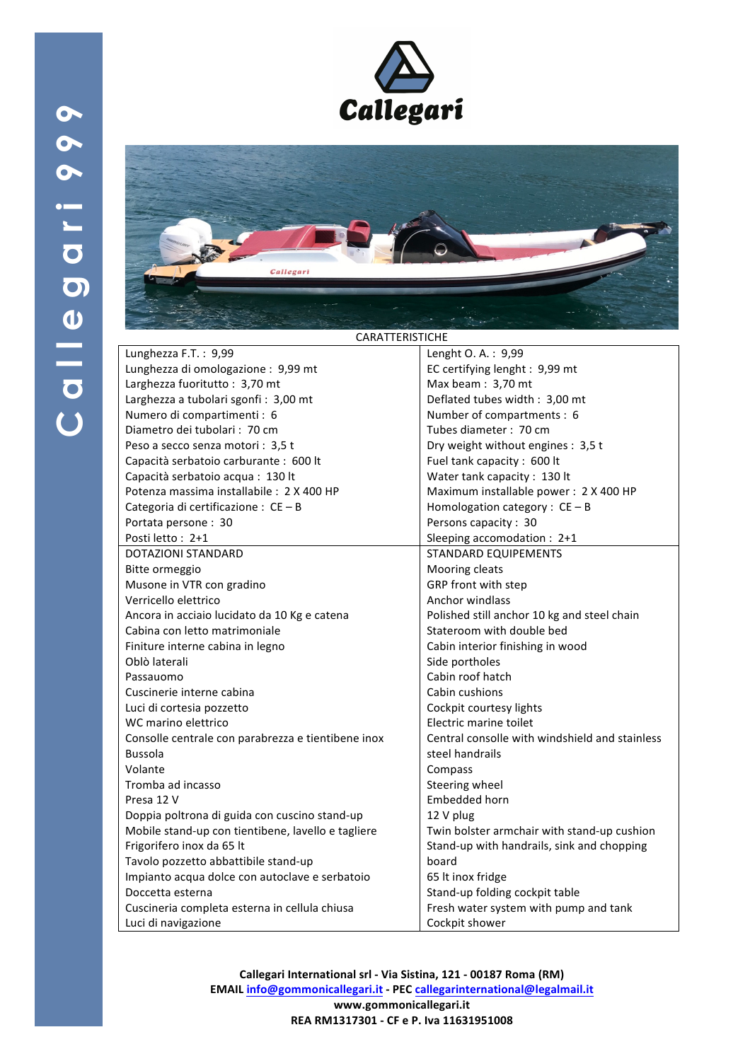

| <b>CARATTERISTICHE</b>                             |                                                |
|----------------------------------------------------|------------------------------------------------|
| Lunghezza F.T.: 9,99                               | Lenght O. A.: 9,99                             |
| Lunghezza di omologazione: 9,99 mt                 | EC certifying lenght: 9,99 mt                  |
| Larghezza fuoritutto: 3,70 mt                      | Max beam: 3,70 mt                              |
| Larghezza a tubolari sgonfi: 3,00 mt               | Deflated tubes width: 3,00 mt                  |
| Numero di compartimenti : 6                        | Number of compartments : 6                     |
| Diametro dei tubolari: 70 cm                       | Tubes diameter: 70 cm                          |
| Peso a secco senza motori: 3,5 t                   | Dry weight without engines: 3,5 t              |
| Capacità serbatoio carburante : 600 lt             | Fuel tank capacity: 600 lt                     |
| Capacità serbatoio acqua: 130 lt                   | Water tank capacity: 130 lt                    |
| Potenza massima installabile: 2 X 400 HP           | Maximum installable power: 2 X 400 HP          |
| Categoria di certificazione : $CE - B$             | Homologation category : $CE - B$               |
| Portata persone: 30                                | Persons capacity: 30                           |
| Posti letto: 2+1                                   | Sleeping accomodation : 2+1                    |
| <b>DOTAZIONI STANDARD</b>                          | <b>STANDARD EQUIPEMENTS</b>                    |
| Bitte ormeggio                                     | Mooring cleats                                 |
| Musone in VTR con gradino                          | GRP front with step                            |
| Verricello elettrico                               | Anchor windlass                                |
| Ancora in acciaio lucidato da 10 Kg e catena       | Polished still anchor 10 kg and steel chain    |
| Cabina con letto matrimoniale                      | Stateroom with double bed                      |
| Finiture interne cabina in legno                   | Cabin interior finishing in wood               |
| Oblò laterali                                      | Side portholes                                 |
| Passauomo                                          | Cabin roof hatch                               |
| Cuscinerie interne cabina                          | Cabin cushions                                 |
| Luci di cortesia pozzetto                          | Cockpit courtesy lights                        |
| WC marino elettrico                                | Electric marine toilet                         |
| Consolle centrale con parabrezza e tientibene inox | Central consolle with windshield and stainless |
| <b>Bussola</b>                                     | steel handrails                                |
| Volante                                            | Compass                                        |
| Tromba ad incasso                                  | Steering wheel                                 |
| Presa 12 V                                         | Embedded horn                                  |
| Doppia poltrona di guida con cuscino stand-up      | 12 V plug                                      |
| Mobile stand-up con tientibene, lavello e tagliere | Twin bolster armchair with stand-up cushion    |
| Frigorifero inox da 65 lt                          | Stand-up with handrails, sink and chopping     |
| Tavolo pozzetto abbattibile stand-up               | board                                          |
| Impianto acqua dolce con autoclave e serbatoio     | 65 It inox fridge                              |
| Doccetta esterna                                   | Stand-up folding cockpit table                 |
| Cuscineria completa esterna in cellula chiusa      | Fresh water system with pump and tank          |
| Luci di navigazione                                | Cockpit shower                                 |

**Callegari International srl - Via Sistina, 121 - 00187 Roma (RM) EMAIL info@gommonicallegari.it - PEC callegarinternational@legalmail.it www.gommonicallegari.it REA RM1317301 - CF e P. Iva 11631951008**